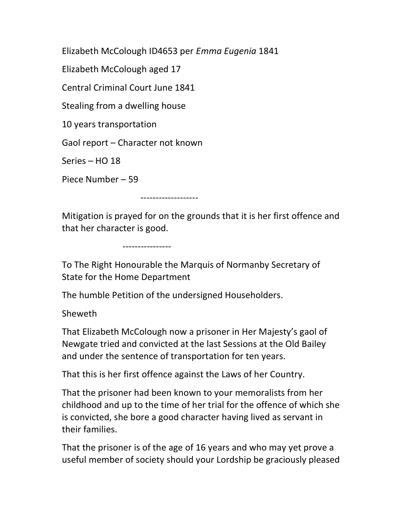Elizabeth McColough ID4653 per Emma Eugenia 1841

Elizabeth McColough aged 17

Central Criminal Court June 1841

Stealing from a dwelling house

10 years transportation

Gaol report – Character not known

Series – HO 18

Piece Number – 59

-------------------

Mitigation is prayed for on the grounds that it is her first offence and that her character is good.

----------------

To The Right Honourable the Marquis of Normanby Secretary of State for the Home Department

The humble Petition of the undersigned Householders.

Sheweth

That Elizabeth McColough now a prisoner in Her Majesty's gaol of Newgate tried and convicted at the last Sessions at the Old Bailey and under the sentence of transportation for ten years.

That this is her first offence against the Laws of her Country.

That the prisoner had been known to your memoralists from her childhood and up to the time of her trial for the offence of which she is convicted, she bore a good character having lived as servant in their families.

That the prisoner is of the age of 16 years and who may yet prove a useful member of society should your Lordship be graciously pleased